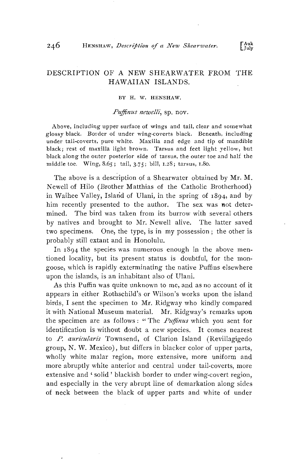## **DESCRIPTION OF A NEW SHEARWATER FROM THE HAWAIIAN ISLANDS.**

#### **BY H. W. HENSHAW.**

### Puffinus newelli, sp. nov.

**Above, including upper surface of wings and tail, clear and somewhat glossy black. Border of under wing-coverts black. Beneath, including**  under tail-coverts, pure white. Maxilla and edge and tip of mandible **black; rest of maxilla light brown. Tarsus and feet light yellow, but black along the outer posterior side of tarsus, the outer toe and half the middle toe. Wing, 8.65; tail, 3.75; bill, 1.28; tarsus, 1.8o.** 

The above is a description of a Shearwater obtained by Mr. M. **Newell of Hilo (Brother Mattbias of the Catholic Brotherhood)**  in Waihee Valley, Island of Ulani, in the spring of  $1894$ , and by him recently presented to the author. The sex was not deter**mined. The bird was taken from its burrow with several others by natives and brought to Mr. Newell alive. The latter saved two specimens. One, the type, is in my possession; the other is probably still extant and in Honolulu.** 

In 1894 the species was numerous enough in the above men**tioned locality, but its present status is doubtful, for the mongoose, which is rapidly exterminating the native Puffins elsewhere upon the islands, is an inhabitant also of Ulani.** 

**As this Puffin was quite unknown to me, and as no account of it**  appears in either Rothschild's or Wilson's works upon the island birds, I sent the specimen to Mr. Ridgway who kindly compared it with National Museum material. Mr. Ridgway's remarks upon the specimen are as follows: "The *Puffinus* which you sent for **identification is without doubt a new species. It comes nearest**  to P. auricularis Townsend, of Clarion Island (Revillagigedo **group, N. W. Mexico), but differs in blacker color of upper parts, wholly white malar region, more extensive, more uniform and more abruptly white anterior and central under tail-coverts, more extensive and • solid ' blackish border to under wing-covert region,**  and especially in the very abrupt line of demarkation along sides **of neck between the black of upper parts and white of under**